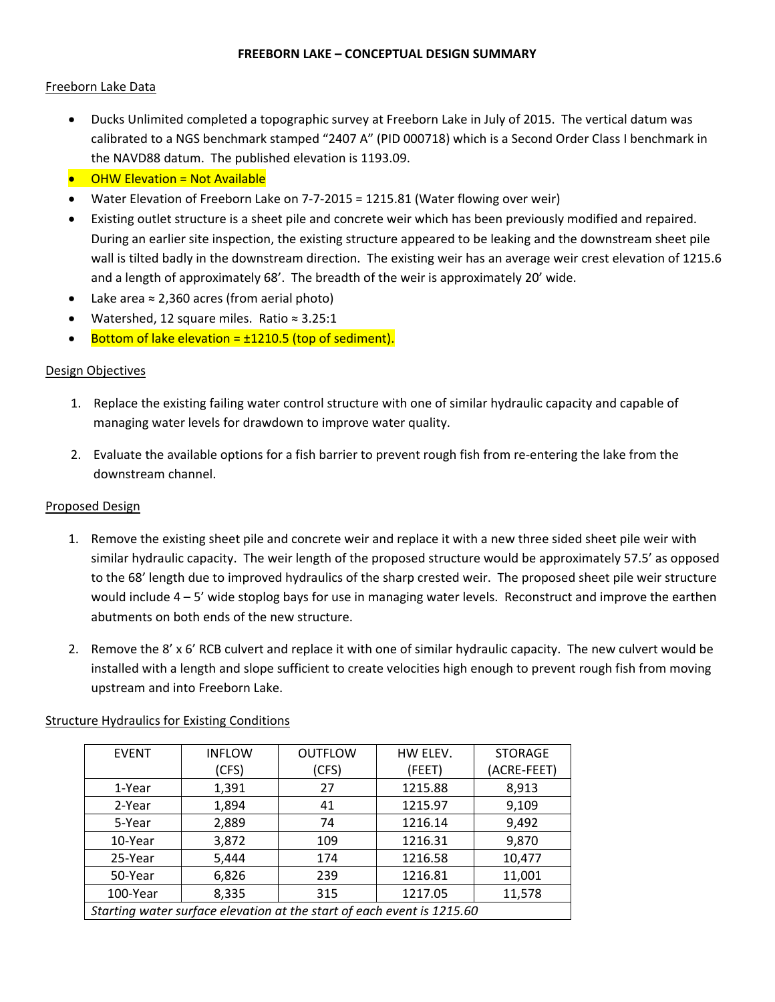#### **FREEBORN LAKE – CONCEPTUAL DESIGN SUMMARY**

#### Freeborn Lake Data

- Ducks Unlimited completed a topographic survey at Freeborn Lake in July of 2015. The vertical datum was calibrated to a NGS benchmark stamped "2407 A" (PID 000718) which is a Second Order Class I benchmark in the NAVD88 datum. The published elevation is 1193.09.
- OHW Elevation = Not Available
- Water Elevation of Freeborn Lake on 7‐7‐2015 = 1215.81 (Water flowing over weir)
- Existing outlet structure is a sheet pile and concrete weir which has been previously modified and repaired. During an earlier site inspection, the existing structure appeared to be leaking and the downstream sheet pile wall is tilted badly in the downstream direction. The existing weir has an average weir crest elevation of 1215.6 and a length of approximately 68'. The breadth of the weir is approximately 20' wide.
- Lake area  $\approx$  2,360 acres (from aerial photo)
- Watershed, 12 square miles. Ratio ≈ 3.25:1
- Bottom of lake elevation =  $\pm$ 1210.5 (top of sediment).

# Design Objectives

- 1. Replace the existing failing water control structure with one of similar hydraulic capacity and capable of managing water levels for drawdown to improve water quality.
- 2. Evaluate the available options for a fish barrier to prevent rough fish from re-entering the lake from the downstream channel.

#### Proposed Design

- 1. Remove the existing sheet pile and concrete weir and replace it with a new three sided sheet pile weir with similar hydraulic capacity. The weir length of the proposed structure would be approximately 57.5' as opposed to the 68' length due to improved hydraulics of the sharp crested weir. The proposed sheet pile weir structure would include 4 – 5' wide stoplog bays for use in managing water levels. Reconstruct and improve the earthen abutments on both ends of the new structure.
- 2. Remove the 8' x 6' RCB culvert and replace it with one of similar hydraulic capacity. The new culvert would be installed with a length and slope sufficient to create velocities high enough to prevent rough fish from moving upstream and into Freeborn Lake.

| <b>EVENT</b>                                                           | <b>INFLOW</b> | <b>OUTFLOW</b> | HW ELEV. | <b>STORAGE</b> |  |
|------------------------------------------------------------------------|---------------|----------------|----------|----------------|--|
|                                                                        | (CFS)         | (CFS)          | (FEET)   | (ACRE-FEET)    |  |
| 1-Year                                                                 | 1,391         | 27             | 1215.88  | 8,913          |  |
| 2-Year                                                                 | 1,894         | 41             | 1215.97  | 9,109          |  |
| 5-Year                                                                 | 2,889         | 74             | 1216.14  | 9,492          |  |
| 10-Year                                                                | 3,872         | 109            | 1216.31  | 9,870          |  |
| 25-Year                                                                | 5,444         | 174            | 1216.58  | 10,477         |  |
| 50-Year                                                                | 6,826         | 239            | 1216.81  | 11,001         |  |
| 100-Year                                                               | 8,335         | 315            | 1217.05  | 11,578         |  |
| Starting water surface elevation at the start of each event is 1215.60 |               |                |          |                |  |

# Structure Hydraulics for Existing Conditions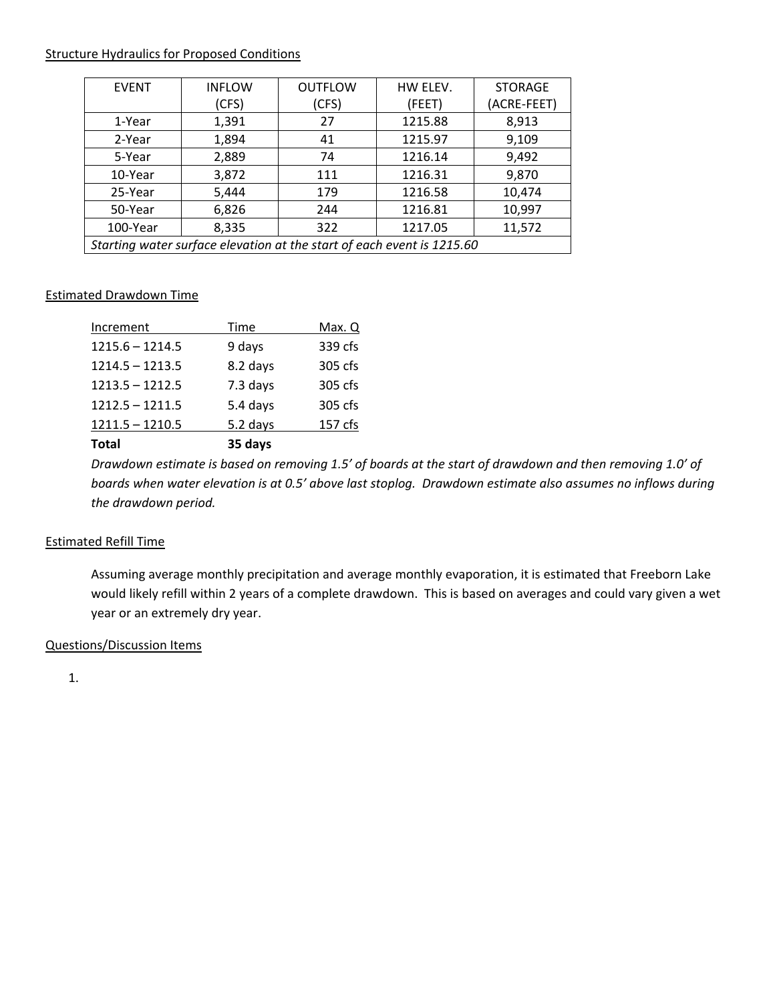# Structure Hydraulics for Proposed Conditions

| <b>EVENT</b>                                                           | <b>INFLOW</b> | <b>OUTFLOW</b> | HW ELEV. | <b>STORAGE</b> |  |
|------------------------------------------------------------------------|---------------|----------------|----------|----------------|--|
|                                                                        | (CFS)         | (CFS)          | (FEET)   | (ACRE-FEET)    |  |
| 1-Year                                                                 | 1,391         | 27             | 1215.88  | 8,913          |  |
| 2-Year                                                                 | 1,894         | 41             | 1215.97  | 9,109          |  |
| 5-Year                                                                 | 2,889         | 74             | 1216.14  | 9,492          |  |
| 10-Year                                                                | 3,872         | 111            | 1216.31  | 9,870          |  |
| 25-Year                                                                | 5,444         | 179            | 1216.58  | 10,474         |  |
| 50-Year                                                                | 6,826         | 244            | 1216.81  | 10,997         |  |
| 100-Year                                                               | 8,335         | 322            | 1217.05  | 11,572         |  |
| Starting water surface elevation at the start of each event is 1215.60 |               |                |          |                |  |

# Estimated Drawdown Time

| <b>Total</b>      | 35 days  |         |
|-------------------|----------|---------|
| $1211.5 - 1210.5$ | 5.2 days | 157 cfs |
| $1212.5 - 1211.5$ | 5.4 days | 305 cfs |
| $1213.5 - 1212.5$ | 7.3 days | 305 cfs |
| $1214.5 - 1213.5$ | 8.2 days | 305 cfs |
| $1215.6 - 1214.5$ | 9 days   | 339 cfs |
| Increment         | Time     | Max. Q  |

Drawdown estimate is based on removing 1.5' of boards at the start of drawdown and then removing 1.0' of boards when water elevation is at 0.5' above last stoplog. Drawdown estimate also assumes no inflows during *the drawdown period.*

# Estimated Refill Time

Assuming average monthly precipitation and average monthly evaporation, it is estimated that Freeborn Lake would likely refill within 2 years of a complete drawdown. This is based on averages and could vary given a wet year or an extremely dry year.

# Questions/Discussion Items

1.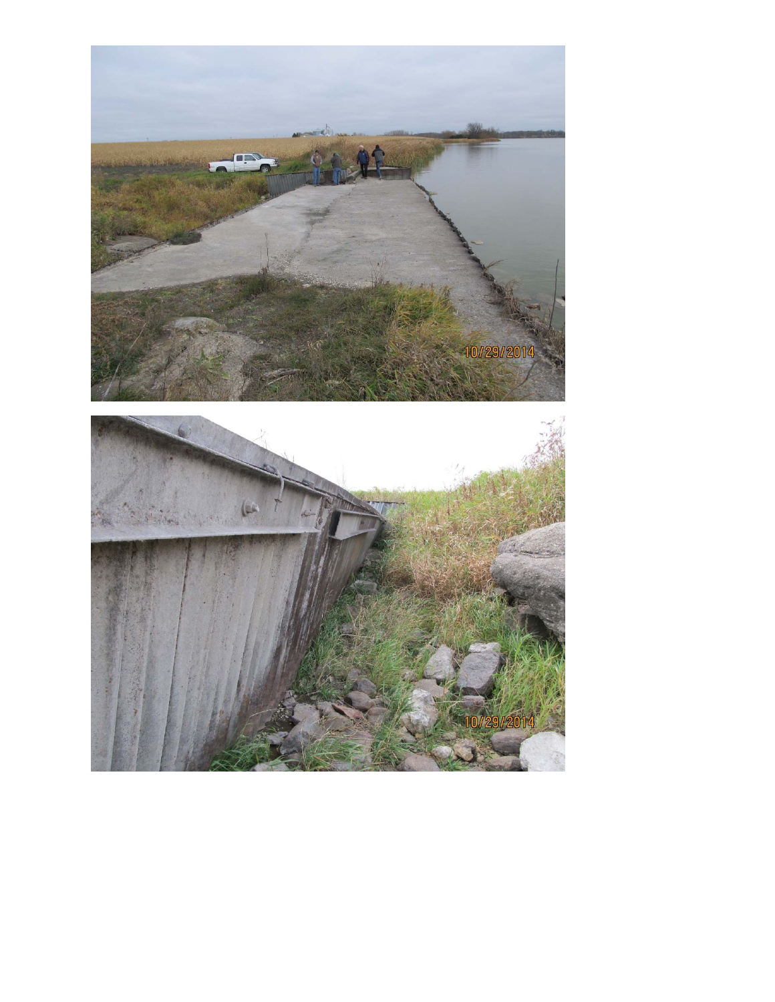